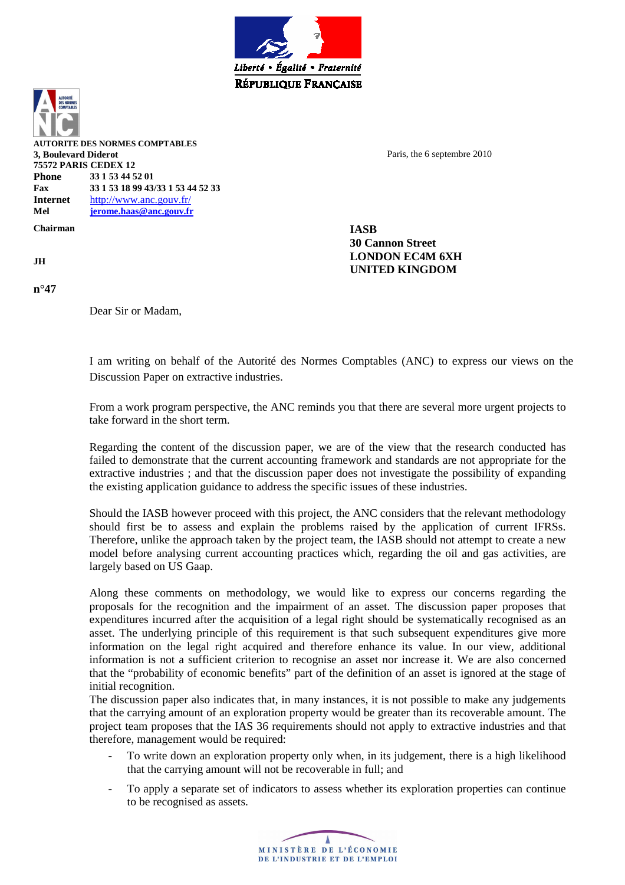

**AUTORITE DES NORMES COMPTABLES 3, Boulevard Diderot 75572 PARIS CEDEX 12 Phone 33 1 53 44 52 01 Fax 33 1 53 18 99 43/33 1 53 44 52 33 Internet** http://www.anc.gouv.fr/ **Mel jerome.haas@anc.gouv.fr**

**Chairman IASB** 

**n°47** 

Dear Sir or Madam,

Paris, the 6 septembre 2010

**30 Cannon Street JH LONDON EC4M 6XH UNITED KINGDOM**

> I am writing on behalf of the Autorité des Normes Comptables (ANC) to express our views on the Discussion Paper on extractive industries.

From a work program perspective, the ANC reminds you that there are several more urgent projects to take forward in the short term.

Regarding the content of the discussion paper, we are of the view that the research conducted has failed to demonstrate that the current accounting framework and standards are not appropriate for the extractive industries ; and that the discussion paper does not investigate the possibility of expanding the existing application guidance to address the specific issues of these industries.

Should the IASB however proceed with this project, the ANC considers that the relevant methodology should first be to assess and explain the problems raised by the application of current IFRSs. Therefore, unlike the approach taken by the project team, the IASB should not attempt to create a new model before analysing current accounting practices which, regarding the oil and gas activities, are largely based on US Gaap.

Along these comments on methodology, we would like to express our concerns regarding the proposals for the recognition and the impairment of an asset. The discussion paper proposes that expenditures incurred after the acquisition of a legal right should be systematically recognised as an asset. The underlying principle of this requirement is that such subsequent expenditures give more information on the legal right acquired and therefore enhance its value. In our view, additional information is not a sufficient criterion to recognise an asset nor increase it. We are also concerned that the "probability of economic benefits" part of the definition of an asset is ignored at the stage of initial recognition.

The discussion paper also indicates that, in many instances, it is not possible to make any judgements that the carrying amount of an exploration property would be greater than its recoverable amount. The project team proposes that the IAS 36 requirements should not apply to extractive industries and that therefore, management would be required:

- To write down an exploration property only when, in its judgement, there is a high likelihood that the carrying amount will not be recoverable in full; and
- To apply a separate set of indicators to assess whether its exploration properties can continue to be recognised as assets.

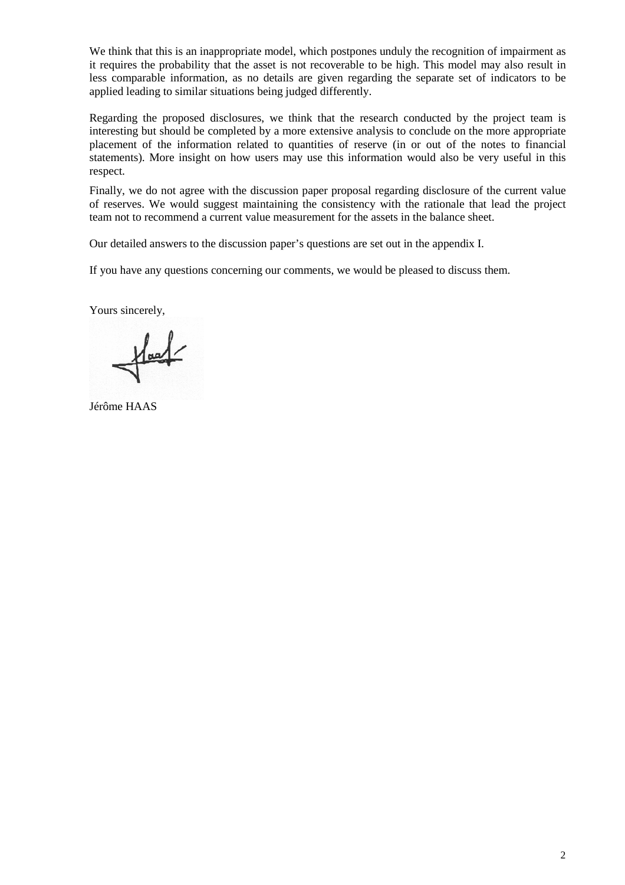We think that this is an inappropriate model, which postpones unduly the recognition of impairment as it requires the probability that the asset is not recoverable to be high. This model may also result in less comparable information, as no details are given regarding the separate set of indicators to be applied leading to similar situations being judged differently.

Regarding the proposed disclosures, we think that the research conducted by the project team is interesting but should be completed by a more extensive analysis to conclude on the more appropriate placement of the information related to quantities of reserve (in or out of the notes to financial statements). More insight on how users may use this information would also be very useful in this respect.

Finally, we do not agree with the discussion paper proposal regarding disclosure of the current value of reserves. We would suggest maintaining the consistency with the rationale that lead the project team not to recommend a current value measurement for the assets in the balance sheet.

Our detailed answers to the discussion paper's questions are set out in the appendix I.

If you have any questions concerning our comments, we would be pleased to discuss them.

Yours sincerely,

 $\frac{1}{2}$ 

Jérôme HAAS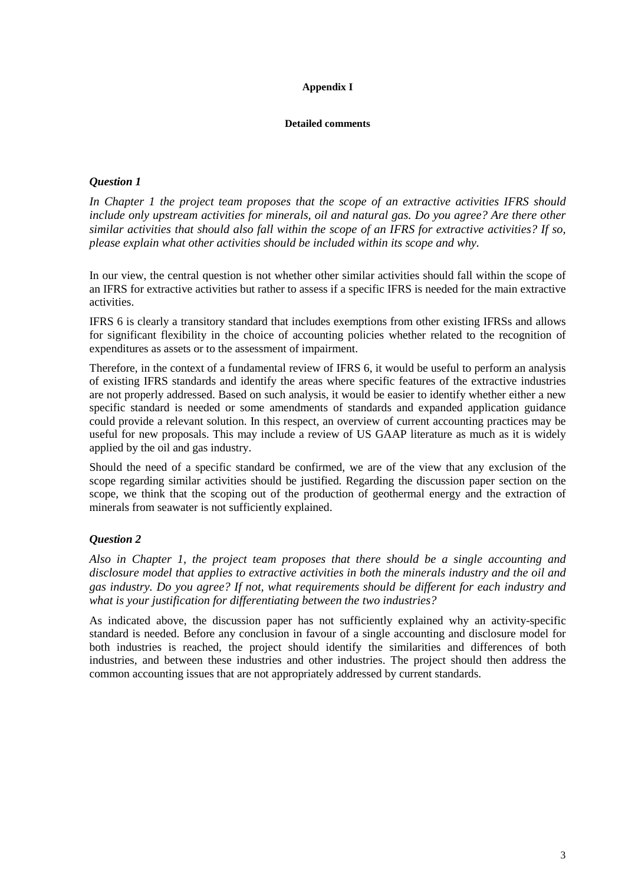#### **Appendix I**

#### **Detailed comments**

### *Question 1*

*In Chapter 1 the project team proposes that the scope of an extractive activities IFRS should include only upstream activities for minerals, oil and natural gas. Do you agree? Are there other similar activities that should also fall within the scope of an IFRS for extractive activities? If so, please explain what other activities should be included within its scope and why.* 

In our view, the central question is not whether other similar activities should fall within the scope of an IFRS for extractive activities but rather to assess if a specific IFRS is needed for the main extractive activities.

IFRS 6 is clearly a transitory standard that includes exemptions from other existing IFRSs and allows for significant flexibility in the choice of accounting policies whether related to the recognition of expenditures as assets or to the assessment of impairment.

Therefore, in the context of a fundamental review of IFRS 6, it would be useful to perform an analysis of existing IFRS standards and identify the areas where specific features of the extractive industries are not properly addressed. Based on such analysis, it would be easier to identify whether either a new specific standard is needed or some amendments of standards and expanded application guidance could provide a relevant solution. In this respect, an overview of current accounting practices may be useful for new proposals. This may include a review of US GAAP literature as much as it is widely applied by the oil and gas industry.

Should the need of a specific standard be confirmed, we are of the view that any exclusion of the scope regarding similar activities should be justified. Regarding the discussion paper section on the scope, we think that the scoping out of the production of geothermal energy and the extraction of minerals from seawater is not sufficiently explained.

# *Question 2*

*Also in Chapter 1, the project team proposes that there should be a single accounting and disclosure model that applies to extractive activities in both the minerals industry and the oil and gas industry. Do you agree? If not, what requirements should be different for each industry and what is your justification for differentiating between the two industries?* 

As indicated above, the discussion paper has not sufficiently explained why an activity-specific standard is needed. Before any conclusion in favour of a single accounting and disclosure model for both industries is reached, the project should identify the similarities and differences of both industries, and between these industries and other industries. The project should then address the common accounting issues that are not appropriately addressed by current standards.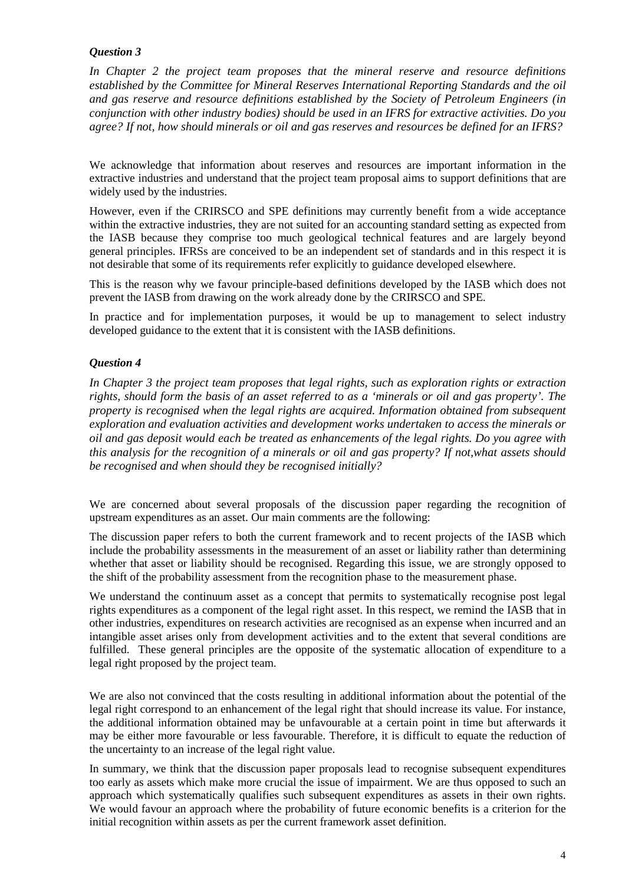*In Chapter 2 the project team proposes that the mineral reserve and resource definitions established by the Committee for Mineral Reserves International Reporting Standards and the oil and gas reserve and resource definitions established by the Society of Petroleum Engineers (in conjunction with other industry bodies) should be used in an IFRS for extractive activities. Do you agree? If not, how should minerals or oil and gas reserves and resources be defined for an IFRS?* 

We acknowledge that information about reserves and resources are important information in the extractive industries and understand that the project team proposal aims to support definitions that are widely used by the industries.

However, even if the CRIRSCO and SPE definitions may currently benefit from a wide acceptance within the extractive industries, they are not suited for an accounting standard setting as expected from the IASB because they comprise too much geological technical features and are largely beyond general principles. IFRSs are conceived to be an independent set of standards and in this respect it is not desirable that some of its requirements refer explicitly to guidance developed elsewhere.

This is the reason why we favour principle-based definitions developed by the IASB which does not prevent the IASB from drawing on the work already done by the CRIRSCO and SPE.

In practice and for implementation purposes, it would be up to management to select industry developed guidance to the extent that it is consistent with the IASB definitions.

### *Question 4*

*In Chapter 3 the project team proposes that legal rights, such as exploration rights or extraction rights, should form the basis of an asset referred to as a 'minerals or oil and gas property'. The property is recognised when the legal rights are acquired. Information obtained from subsequent exploration and evaluation activities and development works undertaken to access the minerals or oil and gas deposit would each be treated as enhancements of the legal rights. Do you agree with this analysis for the recognition of a minerals or oil and gas property? If not,what assets should be recognised and when should they be recognised initially?* 

We are concerned about several proposals of the discussion paper regarding the recognition of upstream expenditures as an asset. Our main comments are the following:

The discussion paper refers to both the current framework and to recent projects of the IASB which include the probability assessments in the measurement of an asset or liability rather than determining whether that asset or liability should be recognised. Regarding this issue, we are strongly opposed to the shift of the probability assessment from the recognition phase to the measurement phase.

We understand the continuum asset as a concept that permits to systematically recognise post legal rights expenditures as a component of the legal right asset. In this respect, we remind the IASB that in other industries, expenditures on research activities are recognised as an expense when incurred and an intangible asset arises only from development activities and to the extent that several conditions are fulfilled. These general principles are the opposite of the systematic allocation of expenditure to a legal right proposed by the project team.

We are also not convinced that the costs resulting in additional information about the potential of the legal right correspond to an enhancement of the legal right that should increase its value. For instance, the additional information obtained may be unfavourable at a certain point in time but afterwards it may be either more favourable or less favourable. Therefore, it is difficult to equate the reduction of the uncertainty to an increase of the legal right value.

In summary, we think that the discussion paper proposals lead to recognise subsequent expenditures too early as assets which make more crucial the issue of impairment. We are thus opposed to such an approach which systematically qualifies such subsequent expenditures as assets in their own rights. We would favour an approach where the probability of future economic benefits is a criterion for the initial recognition within assets as per the current framework asset definition.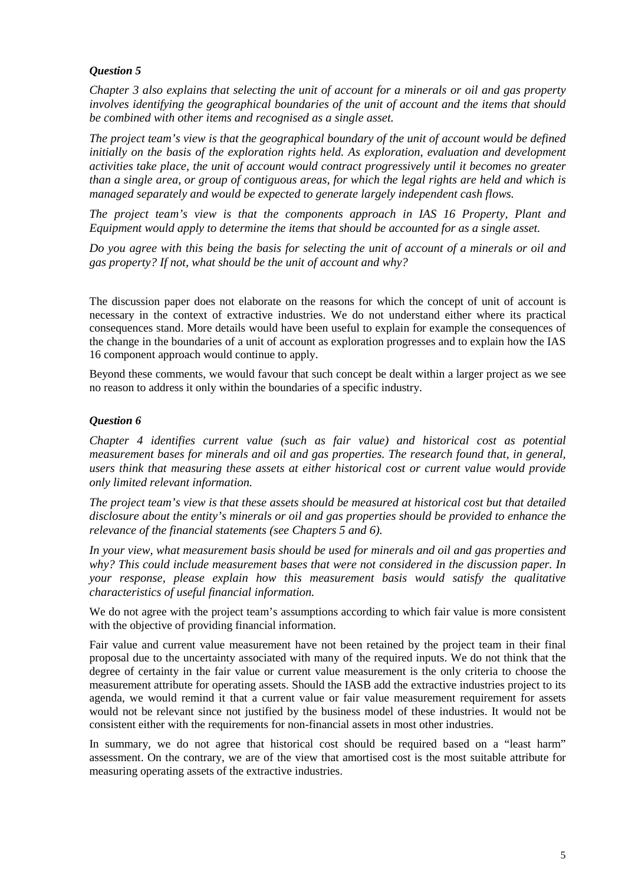*Chapter 3 also explains that selecting the unit of account for a minerals or oil and gas property involves identifying the geographical boundaries of the unit of account and the items that should be combined with other items and recognised as a single asset.* 

*The project team's view is that the geographical boundary of the unit of account would be defined*  initially on the basis of the exploration rights held. As exploration, evaluation and development *activities take place, the unit of account would contract progressively until it becomes no greater than a single area, or group of contiguous areas, for which the legal rights are held and which is managed separately and would be expected to generate largely independent cash flows.* 

*The project team's view is that the components approach in IAS 16 Property, Plant and Equipment would apply to determine the items that should be accounted for as a single asset.* 

*Do you agree with this being the basis for selecting the unit of account of a minerals or oil and gas property? If not, what should be the unit of account and why?* 

The discussion paper does not elaborate on the reasons for which the concept of unit of account is necessary in the context of extractive industries. We do not understand either where its practical consequences stand. More details would have been useful to explain for example the consequences of the change in the boundaries of a unit of account as exploration progresses and to explain how the IAS 16 component approach would continue to apply.

Beyond these comments, we would favour that such concept be dealt within a larger project as we see no reason to address it only within the boundaries of a specific industry.

#### *Question 6*

*Chapter 4 identifies current value (such as fair value) and historical cost as potential measurement bases for minerals and oil and gas properties. The research found that, in general, users think that measuring these assets at either historical cost or current value would provide only limited relevant information.* 

*The project team's view is that these assets should be measured at historical cost but that detailed disclosure about the entity's minerals or oil and gas properties should be provided to enhance the relevance of the financial statements (see Chapters 5 and 6).* 

*In your view, what measurement basis should be used for minerals and oil and gas properties and why? This could include measurement bases that were not considered in the discussion paper. In your response, please explain how this measurement basis would satisfy the qualitative characteristics of useful financial information.* 

We do not agree with the project team's assumptions according to which fair value is more consistent with the objective of providing financial information.

Fair value and current value measurement have not been retained by the project team in their final proposal due to the uncertainty associated with many of the required inputs. We do not think that the degree of certainty in the fair value or current value measurement is the only criteria to choose the measurement attribute for operating assets. Should the IASB add the extractive industries project to its agenda, we would remind it that a current value or fair value measurement requirement for assets would not be relevant since not justified by the business model of these industries. It would not be consistent either with the requirements for non-financial assets in most other industries.

In summary, we do not agree that historical cost should be required based on a "least harm" assessment. On the contrary, we are of the view that amortised cost is the most suitable attribute for measuring operating assets of the extractive industries.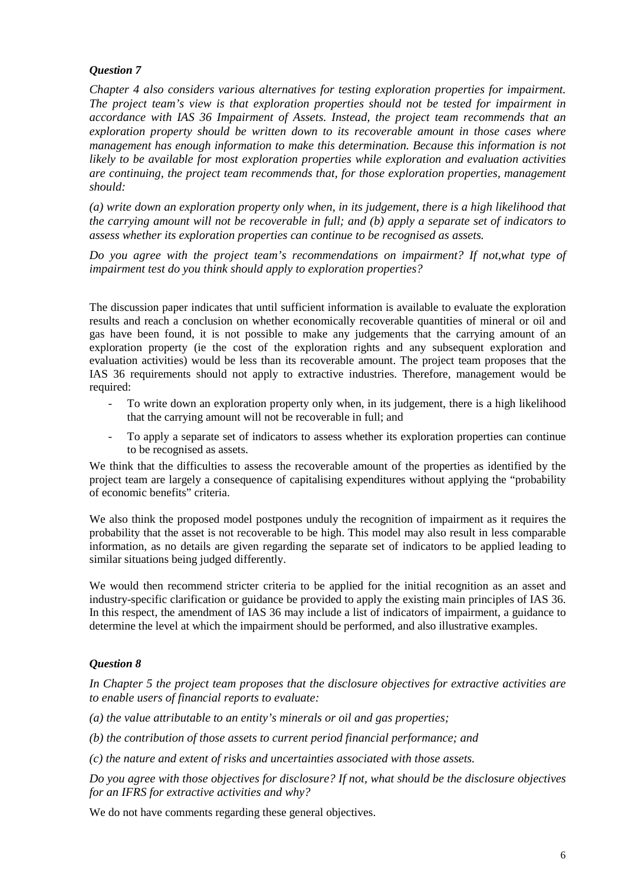*Chapter 4 also considers various alternatives for testing exploration properties for impairment. The project team's view is that exploration properties should not be tested for impairment in accordance with IAS 36 Impairment of Assets. Instead, the project team recommends that an exploration property should be written down to its recoverable amount in those cases where management has enough information to make this determination. Because this information is not likely to be available for most exploration properties while exploration and evaluation activities are continuing, the project team recommends that, for those exploration properties, management should:* 

*(a) write down an exploration property only when, in its judgement, there is a high likelihood that the carrying amount will not be recoverable in full; and (b) apply a separate set of indicators to assess whether its exploration properties can continue to be recognised as assets.* 

*Do you agree with the project team's recommendations on impairment? If not,what type of impairment test do you think should apply to exploration properties?* 

The discussion paper indicates that until sufficient information is available to evaluate the exploration results and reach a conclusion on whether economically recoverable quantities of mineral or oil and gas have been found, it is not possible to make any judgements that the carrying amount of an exploration property (ie the cost of the exploration rights and any subsequent exploration and evaluation activities) would be less than its recoverable amount. The project team proposes that the IAS 36 requirements should not apply to extractive industries. Therefore, management would be required:

- To write down an exploration property only when, in its judgement, there is a high likelihood that the carrying amount will not be recoverable in full; and
- To apply a separate set of indicators to assess whether its exploration properties can continue to be recognised as assets.

We think that the difficulties to assess the recoverable amount of the properties as identified by the project team are largely a consequence of capitalising expenditures without applying the "probability of economic benefits" criteria.

We also think the proposed model postpones unduly the recognition of impairment as it requires the probability that the asset is not recoverable to be high. This model may also result in less comparable information, as no details are given regarding the separate set of indicators to be applied leading to similar situations being judged differently.

We would then recommend stricter criteria to be applied for the initial recognition as an asset and industry-specific clarification or guidance be provided to apply the existing main principles of IAS 36. In this respect, the amendment of IAS 36 may include a list of indicators of impairment, a guidance to determine the level at which the impairment should be performed, and also illustrative examples.

### *Question 8*

*In Chapter 5 the project team proposes that the disclosure objectives for extractive activities are to enable users of financial reports to evaluate:* 

*(a) the value attributable to an entity's minerals or oil and gas properties;* 

*(b) the contribution of those assets to current period financial performance; and* 

*(c) the nature and extent of risks and uncertainties associated with those assets.* 

*Do you agree with those objectives for disclosure? If not, what should be the disclosure objectives for an IFRS for extractive activities and why?* 

We do not have comments regarding these general objectives.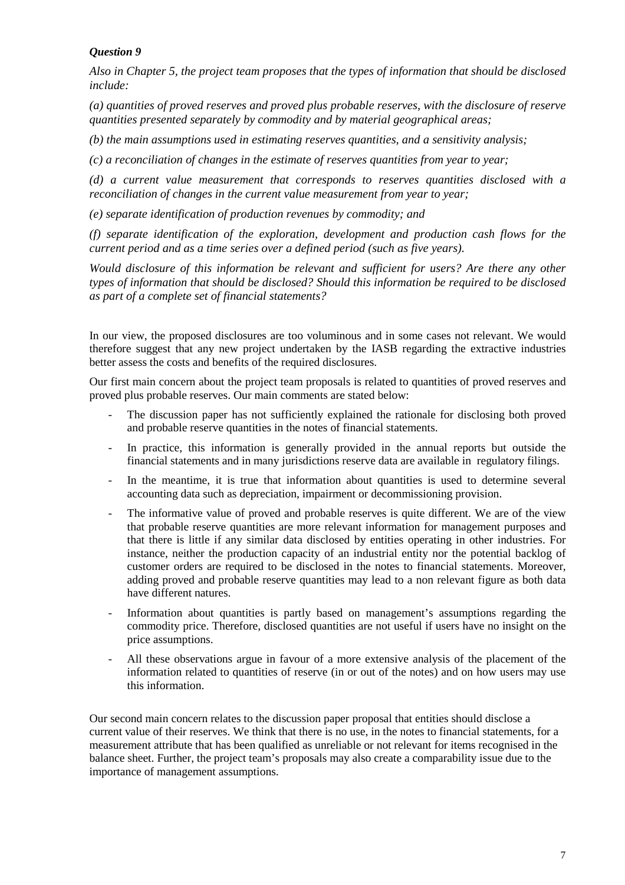*Also in Chapter 5, the project team proposes that the types of information that should be disclosed include:* 

*(a) quantities of proved reserves and proved plus probable reserves, with the disclosure of reserve quantities presented separately by commodity and by material geographical areas;* 

*(b) the main assumptions used in estimating reserves quantities, and a sensitivity analysis;* 

*(c) a reconciliation of changes in the estimate of reserves quantities from year to year;* 

*(d) a current value measurement that corresponds to reserves quantities disclosed with a reconciliation of changes in the current value measurement from year to year;* 

*(e) separate identification of production revenues by commodity; and* 

*(f) separate identification of the exploration, development and production cash flows for the current period and as a time series over a defined period (such as five years).* 

*Would disclosure of this information be relevant and sufficient for users? Are there any other types of information that should be disclosed? Should this information be required to be disclosed as part of a complete set of financial statements?* 

In our view, the proposed disclosures are too voluminous and in some cases not relevant. We would therefore suggest that any new project undertaken by the IASB regarding the extractive industries better assess the costs and benefits of the required disclosures.

Our first main concern about the project team proposals is related to quantities of proved reserves and proved plus probable reserves. Our main comments are stated below:

- The discussion paper has not sufficiently explained the rationale for disclosing both proved and probable reserve quantities in the notes of financial statements.
- In practice, this information is generally provided in the annual reports but outside the financial statements and in many jurisdictions reserve data are available in regulatory filings.
- In the meantime, it is true that information about quantities is used to determine several accounting data such as depreciation, impairment or decommissioning provision.
- The informative value of proved and probable reserves is quite different. We are of the view that probable reserve quantities are more relevant information for management purposes and that there is little if any similar data disclosed by entities operating in other industries. For instance, neither the production capacity of an industrial entity nor the potential backlog of customer orders are required to be disclosed in the notes to financial statements. Moreover, adding proved and probable reserve quantities may lead to a non relevant figure as both data have different natures.
- Information about quantities is partly based on management's assumptions regarding the commodity price. Therefore, disclosed quantities are not useful if users have no insight on the price assumptions.
- All these observations argue in favour of a more extensive analysis of the placement of the information related to quantities of reserve (in or out of the notes) and on how users may use this information.

Our second main concern relates to the discussion paper proposal that entities should disclose a current value of their reserves. We think that there is no use, in the notes to financial statements, for a measurement attribute that has been qualified as unreliable or not relevant for items recognised in the balance sheet. Further, the project team's proposals may also create a comparability issue due to the importance of management assumptions.